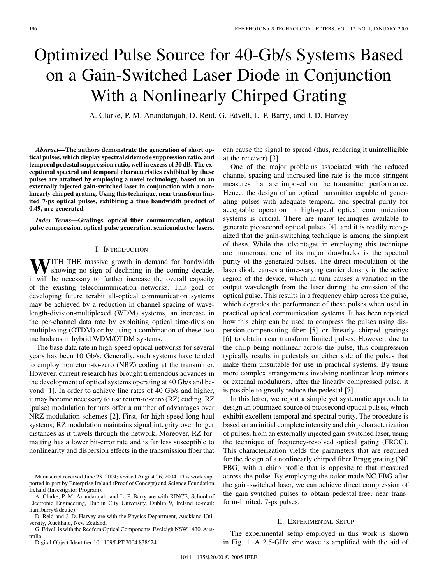# Optimized Pulse Source for 40-Gb/s Systems Based on a Gain-Switched Laser Diode in Conjunction With a Nonlinearly Chirped Grating

A. Clarke, P. M. Anandarajah, D. Reid, G. Edvell, L. P. Barry, and J. D. Harvey

*Abstract—***The authors demonstrate the generation of short optical pulses, which display spectral sidemode suppression ratio, and temporal pedestal suppression ratio, well in excess of 30 dB. The exceptional spectral and temporal characteristics exhibited by these pulses are attained by employing a novel technology, based on an externally injected gain-switched laser in conjunction with a nonlinearly chirped grating. Using this technique, near transform limited 7-ps optical pulses, exhibiting a time bandwidth product of 0.49, are generated.**

*Index Terms—***Gratings, optical fiber communication, optical pulse compression, optical pulse generation, semiconductor lasers.**

# I. INTRODUCTION

WITH THE massive growth in demand for bandwidth showing no sign of declining in the coming decade, it will be necessary to further increase the overall capacity of the existing telecommunication networks. This goal of developing future terabit all-optical communication systems may be achieved by a reduction in channel spacing of wavelength-division-multiplexed (WDM) systems, an increase in the per-channel data rate by exploiting optical time-division multiplexing (OTDM) or by using a combination of these two methods as in hybrid WDM/OTDM systems.

The base data rate in high-speed optical networks for several years has been 10 Gb/s. Generally, such systems have tended to employ nonreturn-to-zero (NRZ) coding at the transmitter. However, current research has brought tremendous advances in the development of optical systems operating at 40 Gb/s and beyond [[1\]](#page-2-0). In order to achieve line rates of 40 Gb/s and higher, it may become necessary to use return-to-zero (RZ) coding. RZ (pulse) modulation formats offer a number of advantages over NRZ modulation schemes [\[2](#page-2-0)]. First, for high-speed long-haul systems, RZ modulation maintains signal integrity over longer distances as it travels through the network. Moreover, RZ formatting has a lower bit-error rate and is far less susceptible to nonlinearity and dispersion effects in the transmission fiber that

Manuscript received June 23, 2004; revised August 26, 2004. This work supported in part by Enterprise Ireland (Proof of Concept) and Science Foundation Ireland (Investigator Program).

A. Clarke, P. M. Anandarajah, and L. P. Barry are with RINCE, School of Electronic Engineering, Dublin City University, Dublin 9, Ireland (e-mail: liam.barry@dcu.ie).

D. Reid and J. D. Harvey are with the Physics Department, Auckland University, Auckland, New Zealand.

G. Edvell is with the Redfern Optical Components, Eveleigh NSW 1430, Australia.

Digital Object Identifier 10.1109/LPT.2004.838624

can cause the signal to spread (thus, rendering it unintelligible at the receiver) [\[3](#page-2-0)].

One of the major problems associated with the reduced channel spacing and increased line rate is the more stringent measures that are imposed on the transmitter performance. Hence, the design of an optical transmitter capable of generating pulses with adequate temporal and spectral purity for acceptable operation in high-speed optical communication systems is crucial. There are many techniques available to generate picosecond optical pulses [\[4](#page-2-0)], and it is readily recognized that the gain-switching technique is among the simplest of these. While the advantages in employing this technique are numerous, one of its major drawbacks is the spectral purity of the generated pulses. The direct modulation of the laser diode causes a time-varying carrier density in the active region of the device, which in turn causes a variation in the output wavelength from the laser during the emission of the optical pulse. This results in a frequency chirp across the pulse, which degrades the performance of these pulses when used in practical optical communication systems. It has been reported how this chirp can be used to compress the pulses using dispersion-compensating fiber [\[5\]](#page-2-0) or linearly chirped gratings [[6\]](#page-2-0) to obtain near transform limited pulses. However, due to the chirp being nonlinear across the pulse, this compression typically results in pedestals on either side of the pulses that make them unsuitable for use in practical systems. By using more complex arrangements involving nonlinear loop mirrors or external modulators, after the linearly compressed pulse, it is possible to greatly reduce the pedestal [[7\]](#page-2-0).

In this letter, we report a simple yet systematic approach to design an optimized source of picosecond optical pulses, which exhibit excellent temporal and spectral purity. The procedure is based on an initial complete intensity and chirp characterization of pulses, from an externally injected gain-switched laser, using the technique of frequency-resolved optical gating (FROG). This characterization yields the parameters that are required for the design of a nonlinearly chirped fiber Bragg grating (NC FBG) with a chirp profile that is opposite to that measured across the pulse. By employing the tailor-made NC FBG after the gain-switched laser, we can achieve direct compression of the gain-switched pulses to obtain pedestal-free, near transform-limited, 7-ps pulses.

### II. EXPERIMENTAL SETUP

The experimental setup employed in this work is shown in Fig. 1. A 2.5-GHz sine wave is amplified with the aid of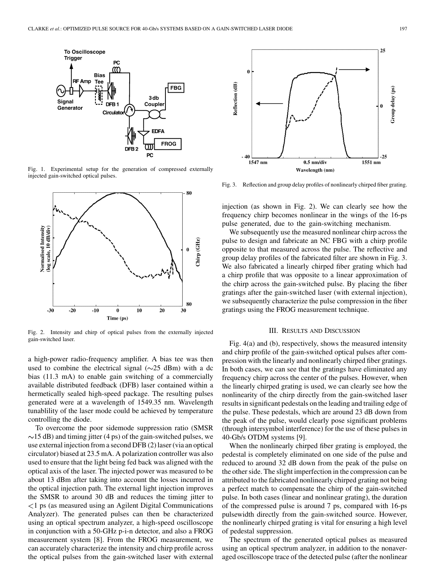

Fig. 1. Experimental setup for the generation of compressed externally injected gain-switched optical pulses.



Fig. 2. Intensity and chirp of optical pulses from the externally injected gain-switched laser.

a high-power radio-frequency amplifier. A bias tee was then used to combine the electrical signal  $(\sim 25$  dBm) with a dc bias (11.3 mA) to enable gain switching of a commercially available distributed feedback (DFB) laser contained within a hermetically sealed high-speed package. The resulting pulses generated were at a wavelength of 1549.35 nm. Wavelength tunablility of the laser mode could be achieved by temperature controlling the diode.

To overcome the poor sidemode suppression ratio (SMSR  $\sim$ 15 dB) and timing jitter (4 ps) of the gain-switched pulses, we use external injection from a second DFB (2) laser (via an optical circulator) biased at 23.5 mA. A polarization controller was also used to ensure that the light being fed back was aligned with the optical axis of the laser. The injected power was measured to be about 13 dBm after taking into account the losses incurred in the optical injection path. The external light injection improves the SMSR to around 30 dB and reduces the timing jitter to  $1$  ps (as measured using an Agilent Digital Communications Analyzer). The generated pulses can then be characterized using an optical spectrum analyzer, a high-speed oscilloscope in conjunction with a 50-GHz p-i-n detector, and also a FROG measurement system [[8](#page-2-0)]. From the FROG measurement, we can accurately characterize the intensity and chirp profile across the optical pulses from the gain-switched laser with external



Fig. 3. Reflection and group delay profiles of nonlinearly chirped fiber grating.

injection (as shown in Fig. 2). We can clearly see how the frequency chirp becomes nonlinear in the wings of the 16-ps pulse generated, due to the gain-switching mechanism.

We subsequently use the measured nonlinear chirp across the pulse to design and fabricate an NC FBG with a chirp profile opposite to that measured across the pulse. The reflective and group delay profiles of the fabricated filter are shown in Fig. 3. We also fabricated a linearly chirped fiber grating which had a chirp profile that was opposite to a linear approximation of the chirp across the gain-switched pulse. By placing the fiber gratings after the gain-switched laser (with external injection), we subsequently characterize the pulse compression in the fiber gratings using the FROG measurement technique.

### III. RESULTS AND DISCUSSION

Fig. 4(a) and (b), respectively, shows the measured intensity and chirp profile of the gain-switched optical pulses after compression with the linearly and nonlinearly chirped fiber gratings. In both cases, we can see that the gratings have eliminated any frequency chirp across the center of the pulses. However, when the linearly chirped grating is used, we can clearly see how the nonlinearity of the chirp directly from the gain-switched laser results in significant pedestals on the leading and trailing edge of the pulse. These pedestals, which are around 23 dB down from the peak of the pulse, would clearly pose significant problems (through intersymbol interference) for the use of these pulses in 40-Gb/s OTDM systems [\[9](#page-2-0)].

When the nonlinearly chirped fiber grating is employed, the pedestal is completely eliminated on one side of the pulse and reduced to around 32 dB down from the peak of the pulse on the other side. The slight imperfection in the compression can be attributed to the fabricated nonlinearly chirped grating not being a perfect match to compensate the chirp of the gain-switched pulse. In both cases (linear and nonlinear grating), the duration of the compressed pulse is around 7 ps, compared with 16-ps pulsewidth directly from the gain-switched source. However, the nonlinearly chirped grating is vital for ensuring a high level of pedestal suppression.

The spectrum of the generated optical pulses as measured using an optical spectrum analyzer, in addition to the nonaveraged oscilloscope trace of the detected pulse (after the nonlinear